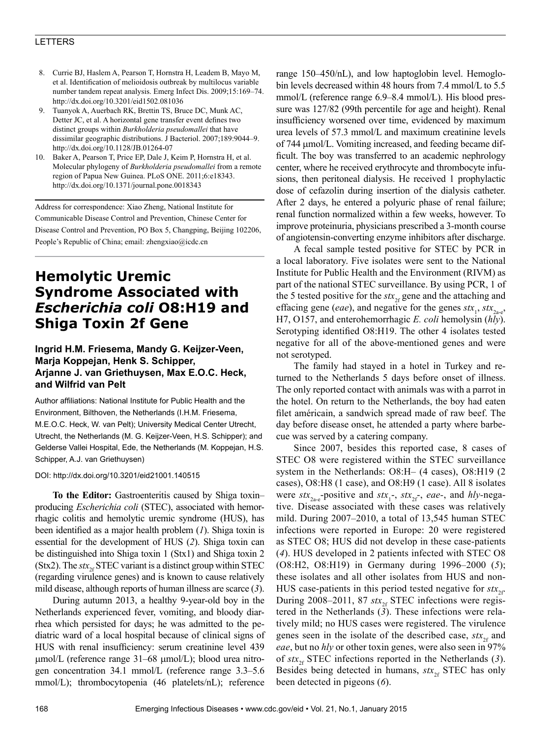### LETTERS

- 8. Currie BJ, Haslem A, Pearson T, Hornstra H, Leadem B, Mayo M, et al. Identification of melioidosis outbreak by multilocus variable number tandem repeat analysis. Emerg Infect Dis. 2009;15:169–74. http://dx.doi.org/10.3201/eid1502.081036
- 9. Tuanyok A, Auerbach RK, Brettin TS, Bruce DC, Munk AC, Detter JC, et al. A horizontal gene transfer event defines two distinct groups within *Burkholderia pseudomallei* that have dissimilar geographic distributions. J Bacteriol. 2007;189:9044–9. http://dx.doi.org/10.1128/JB.01264-07
- 10. Baker A, Pearson T, Price EP, Dale J, Keim P, Hornstra H, et al. Molecular phylogeny of *Burkholderia pseudomallei* from a remote region of Papua New Guinea. PLoS ONE. 2011;6:e18343. http://dx.doi.org/10.1371/journal.pone.0018343

Address for correspondence: Xiao Zheng, National Institute for Communicable Disease Control and Prevention, Chinese Center for Disease Control and Prevention, PO Box 5, Changping, Beijing 102206, People's Republic of China; email: zhengxiao@icdc.cn

# **Hemolytic Uremic Syndrome Associated with**  *Escherichia coli* **O8:H19 and Shiga Toxin 2f Gene**

## **Ingrid H.M. Friesema, Mandy G. Keijzer-Veen, Marja Koppejan, Henk S. Schipper, Arjanne J. van Griethuysen, Max E.O.C. Heck, and Wilfrid van Pelt**

Author affiliations: National Institute for Public Health and the Environment, Bilthoven, the Netherlands (I.H.M. Friesema, M.E.O.C. Heck, W. van Pelt); University Medical Center Utrecht, Utrecht, the Netherlands (M. G. Keijzer-Veen, H.S. Schipper); and Gelderse Vallei Hospital, Ede, the Netherlands (M. Koppejan, H.S. Schipper, A.J. van Griethuysen)

#### DOI: http://dx.doi.org/10.3201/eid21001.140515

**To the Editor:** Gastroenteritis caused by Shiga toxin– producing *Escherichia coli* (STEC), associated with hemorrhagic colitis and hemolytic uremic syndrome (HUS), has been identified as a major health problem (*1*). Shiga toxin is essential for the development of HUS (*2*). Shiga toxin can be distinguished into Shiga toxin 1 (Stx1) and Shiga toxin 2 (Stx2). The  $stx_{2f}$  STEC variant is a distinct group within STEC (regarding virulence genes) and is known to cause relatively mild disease, although reports of human illness are scarce (*3*).

During autumn 2013, a healthy 9-year-old boy in the Netherlands experienced fever, vomiting, and bloody diarrhea which persisted for days; he was admitted to the pediatric ward of a local hospital because of clinical signs of HUS with renal insufficiency: serum creatinine level 439 µmol/L (reference range 31–68 µmol/L); blood urea nitrogen concentration 34.1 mmol/L (reference range 3.3–5.6 mmol/L); thrombocytopenia (46 platelets/nL); reference

range 150–450/nL), and low haptoglobin level. Hemoglobin levels decreased within 48 hours from 7.4 mmol/L to 5.5 mmol/L (reference range 6.9–8.4 mmol/L). His blood pressure was 127/82 (99th percentile for age and height). Renal insufficiency worsened over time, evidenced by maximum urea levels of 57.3 mmol/L and maximum creatinine levels of 744 µmol/L. Vomiting increased, and feeding became difficult. The boy was transferred to an academic nephrology center, where he received erythrocyte and thrombocyte infusions, then peritoneal dialysis. He received 1 prophylactic dose of cefazolin during insertion of the dialysis catheter. After 2 days, he entered a polyuric phase of renal failure; renal function normalized within a few weeks, however. To improve proteinuria, physicians prescribed a 3-month course of angiotensin-converting enzyme inhibitors after discharge.

A fecal sample tested positive for STEC by PCR in a local laboratory. Five isolates were sent to the National Institute for Public Health and the Environment (RIVM) as part of the national STEC surveillance. By using PCR, 1 of the 5 tested positive for the  $stx_{2f}$  gene and the attaching and effacing gene (*eae*), and negative for the genes  $\mathit{stx}_1$ ,  $\mathit{stx}_{2a-e}$ , H7, O157, and enterohemorrhagic *E. coli* hemolysin (*hly*). Serotyping identified O8:H19. The other 4 isolates tested negative for all of the above-mentioned genes and were not serotyped.

The family had stayed in a hotel in Turkey and returned to the Netherlands 5 days before onset of illness. The only reported contact with animals was with a parrot in the hotel. On return to the Netherlands, the boy had eaten filet américain, a sandwich spread made of raw beef. The day before disease onset, he attended a party where barbecue was served by a catering company.

Since 2007, besides this reported case, 8 cases of STEC O8 were registered within the STEC surveillance system in the Netherlands: O8:H– (4 cases), O8:H19 (2 cases), O8:H8 (1 case), and O8:H9 (1 case). All 8 isolates were  $stx_{2a-e}$ -positive and  $stx_1$ -,  $stx_{2f}$ -, *eae*-, and *hly*-negative. Disease associated with these cases was relatively mild. During 2007–2010, a total of 13,545 human STEC infections were reported in Europe: 20 were registered as STEC O8; HUS did not develop in these case-patients (*4*). HUS developed in 2 patients infected with STEC O8 (O8:H2, O8:H19) in Germany during 1996–2000 (*5*); these isolates and all other isolates from HUS and non-HUS case-patients in this period tested negative for  $stx_{2f}$ . During 2008–2011, 87  $str_{2f}$  STEC infections were registered in the Netherlands (*3*). These infections were relatively mild; no HUS cases were registered. The virulence genes seen in the isolate of the described case,  $\delta t x_{\gamma f}$  and *eae*, but no *hly* or other toxin genes, were also seen in 97% of  $stx_{2f}$  STEC infections reported in the Netherlands (3). Besides being detected in humans,  $stx_{2f}$  STEC has only been detected in pigeons (*6*).